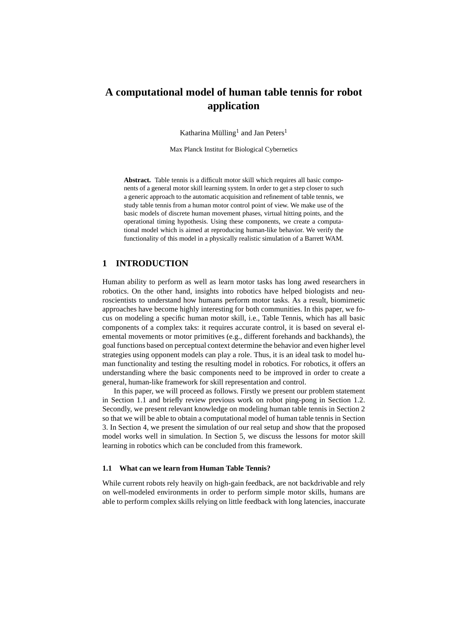# **A computational model of human table tennis for robot application**

Katharina Mülling<sup>1</sup> and Jan Peters<sup>1</sup>

Max Planck Institut for Biological Cybernetics

**Abstract.** Table tennis is a difficult motor skill which requires all basic components of a general motor skill learning system. In order to get a step closer to such a generic approach to the automatic acquisition and refinement of table tennis, we study table tennis from a human motor control point of view. We make use of the basic models of discrete human movement phases, virtual hitting points, and the operational timing hypothesis. Using these components, we create a computational model which is aimed at reproducing human-like behavior. We verify the functionality of this model in a physically realistic simulation of a Barrett WAM.

# **1 INTRODUCTION**

Human ability to perform as well as learn motor tasks has long awed researchers in robotics. On the other hand, insights into robotics have helped biologists and neuroscientists to understand how humans perform motor tasks. As a result, biomimetic approaches have become highly interesting for both communities. In this paper, we focus on modeling a specific human motor skill, i.e., Table Tennis, which has all basic components of a complex taks: it requires accurate control, it is based on several elemental movements or motor primitives (e.g., different forehands and backhands), the goal functions based on perceptual context determine the behavior and even higher level strategies using opponent models can play a role. Thus, it is an ideal task to model human functionality and testing the resulting model in robotics. For robotics, it offers an understanding where the basic components need to be improved in order to create a general, human-like framework for skill representation and control.

In this paper, we will proceed as follows. Firstly we present our problem statement in Section 1.1 and briefly review previous work on robot ping-pong in Section 1.2. Secondly, we present relevant knowledge on modeling human table tennis in Section 2 so that we will be able to obtain a computational model of human table tennis in Section 3. In Section 4, we present the simulation of our real setup and show that the proposed model works well in simulation. In Section 5, we discuss the lessons for motor skill learning in robotics which can be concluded from this framework.

#### **1.1 What can we learn from Human Table Tennis?**

While current robots rely heavily on high-gain feedback, are not backdrivable and rely on well-modeled environments in order to perform simple motor skills, humans are able to perform complex skills relying on little feedback with long latencies, inaccurate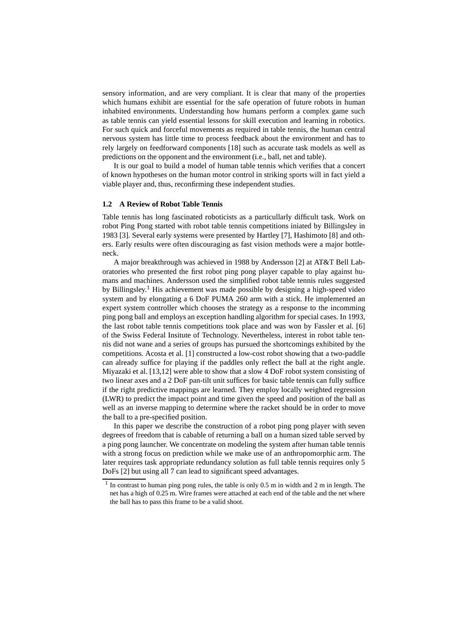sensory information, and are very compliant. It is clear that many of the properties which humans exhibit are essential for the safe operation of future robots in human inhabited environments. Understanding how humans perform a complex game such as table tennis can yield essential lessons for skill execution and learning in robotics. For such quick and forceful movements as required in table tennis, the human central nervous system has little time to process feedback about the environment and has to rely largely on feedforward components [18] such as accurate task models as well as predictions on the opponent and the environment (i.e., ball, net and table).

It is our goal to build a model of human table tennis which verifies that a concert of known hypotheses on the human motor control in striking sports will in fact yield a viable player and, thus, reconfirming these independent studies.

#### **1.2 A Review of Robot Table Tennis**

Table tennis has long fascinated roboticists as a particullarly difficult task. Work on robot Ping Pong started with robot table tennis competitions iniated by Billingsley in 1983 [3]. Several early systems were presented by Hartley [7], Hashimoto [8] and others. Early results were often discouraging as fast vision methods were a major bottleneck.

A major breakthrough was achieved in 1988 by Andersson [2] at AT&T Bell Laboratories who presented the first robot ping pong player capable to play against humans and machines. Andersson used the simplified robot table tennis rules suggested by Billingsley.<sup>1</sup> His achievement was made possible by designing a high-speed video system and by elongating a 6 DoF PUMA 260 arm with a stick. He implemented an expert system controller which chooses the strategy as a response to the incomming ping pong ball and employs an exception handling algorithm for special cases. In 1993, the last robot table tennis competitions took place and was won by Fassler et al. [6] of the Swiss Federal Insitute of Technology. Nevertheless, interest in robot table tennis did not wane and a series of groups has pursued the shortcomings exhibited by the competitions. Acosta et al. [1] constructed a low-cost robot showing that a two-paddle can already suffice for playing if the paddles only reflect the ball at the right angle. Miyazaki et al. [13,12] were able to show that a slow 4 DoF robot system consisting of two linear axes and a 2 DoF pan-tilt unit suffices for basic table tennis can fully suffice if the right predictive mappings are learned. They employ locally weighted regression (LWR) to predict the impact point and time given the speed and position of the ball as well as an inverse mapping to determine where the racket should be in order to move the ball to a pre-specified position.

In this paper we describe the construction of a robot ping pong player with seven degrees of freedom that is cabable of returning a ball on a human sized table served by a ping pong launcher. We concentrate on modeling the system after human table tennis with a strong focus on prediction while we make use of an anthropomorphic arm. The later requires task appropriate redundancy solution as full table tennis requires only 5 DoFs [2] but using all 7 can lead to significant speed advantages.

<sup>&</sup>lt;sup>1</sup> In contrast to human ping pong rules, the table is only 0.5 m in width and 2 m in length. The net has a high of 0.25 m. Wire frames were attached at each end of the table and the net where the ball has to pass this frame to be a valid shoot.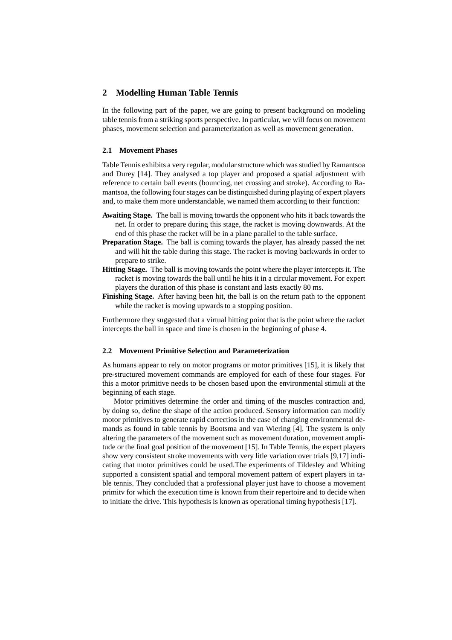## **2 Modelling Human Table Tennis**

In the following part of the paper, we are going to present background on modeling table tennis from a striking sports perspective. In particular, we will focus on movement phases, movement selection and parameterization as well as movement generation.

#### **2.1 Movement Phases**

Table Tennis exhibits a very regular, modular structure which was studied by Ramantsoa and Durey [14]. They analysed a top player and proposed a spatial adjustment with reference to certain ball events (bouncing, net crossing and stroke). According to Ramantsoa, the following four stages can be distinguished during playing of expert players and, to make them more understandable, we named them according to their function:

- **Awaiting Stage.** The ball is moving towards the opponent who hits it back towards the net. In order to prepare during this stage, the racket is moving downwards. At the end of this phase the racket will be in a plane parallel to the table surface.
- **Preparation Stage.** The ball is coming towards the player, has already passed the net and will hit the table during this stage. The racket is moving backwards in order to prepare to strike.
- **Hitting Stage.** The ball is moving towards the point where the player intercepts it. The racket is moving towards the ball until he hits it in a circular movement. For expert players the duration of this phase is constant and lasts exactly 80 ms.
- **Finishing Stage.** After having been hit, the ball is on the return path to the opponent while the racket is moving upwards to a stopping position.

Furthermore they suggested that a virtual hitting point that is the point where the racket intercepts the ball in space and time is chosen in the beginning of phase 4.

#### **2.2 Movement Primitive Selection and Parameterization**

As humans appear to rely on motor programs or motor primitives [15], it is likely that pre-structured movement commands are employed for each of these four stages. For this a motor primitive needs to be chosen based upon the environmental stimuli at the beginning of each stage.

Motor primitives determine the order and timing of the muscles contraction and, by doing so, define the shape of the action produced. Sensory information can modify motor primitives to generate rapid correctios in the case of changing environmental demands as found in table tennis by Bootsma and van Wiering [4]. The system is only altering the parameters of the movement such as movement duration, movement amplitude or the final goal position of the movement [15]. In Table Tennis, the expert players show very consistent stroke movements with very litle variation over trials [9,17] indicating that motor primitives could be used.The experiments of Tildesley and Whiting supported a consistent spatial and temporal movement pattern of expert players in table tennis. They concluded that a professional player just have to choose a movement primitv for which the execution time is known from their repertoire and to decide when to initiate the drive. This hypothesis is known as operational timing hypothesis [17].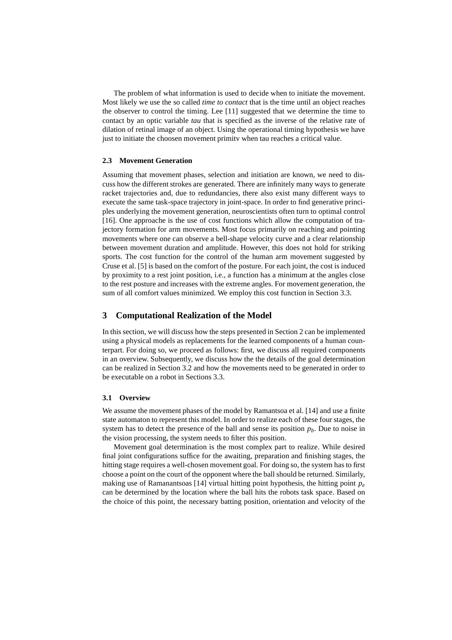The problem of what information is used to decide when to initiate the movement. Most likely we use the so called *time to contact* that is the time until an object reaches the observer to control the timing. Lee [11] suggested that we determine the time to contact by an optic variable *tau* that is specified as the inverse of the relative rate of dilation of retinal image of an object. Using the operational timing hypothesis we have just to initiate the choosen movement primity when tau reaches a critical value.

#### **2.3 Movement Generation**

Assuming that movement phases, selection and initiation are known, we need to discuss how the different strokes are generated. There are infinitely many ways to generate racket trajectories and, due to redundancies, there also exist many different ways to execute the same task-space trajectory in joint-space. In order to find generative principles underlying the movement generation, neuroscientists often turn to optimal control [16]. One approache is the use of cost functions which allow the computation of trajectory formation for arm movements. Most focus primarily on reaching and pointing movements where one can observe a bell-shape velocity curve and a clear relationship between movement duration and amplitude. However, this does not hold for striking sports. The cost function for the control of the human arm movement suggested by Cruse et al. [5] is based on the comfort of the posture. For each joint, the cost is induced by proximity to a rest joint position, i.e., a function has a minimum at the angles close to the rest posture and increases with the extreme angles. For movement generation, the sum of all comfort values minimized. We employ this cost function in Section 3.3.

## **3 Computational Realization of the Model**

In this section, we will discuss how the steps presented in Section 2 can be implemented using a physical models as replacements for the learned components of a human counterpart. For doing so, we proceed as follows: first, we discuss all required components in an overview. Subsequently, we discuss how the the details of the goal determination can be realized in Section 3.2 and how the movements need to be generated in order to be executable on a robot in Sections 3.3.

## **3.1 Overview**

We assume the movement phases of the model by Ramantsoa et al. [14] and use a finite state automaton to represent this model. In order to realize each of these four stages, the system has to detect the presence of the ball and sense its position  $p<sub>b</sub>$ . Due to noise in the vision processing, the system needs to filter this position.

Movement goal determination is the most complex part to realize. While desired final joint configurations suffice for the awaiting, preparation and finishing stages, the hitting stage requires a well-chosen movement goal. For doing so, the system has to first choose a point on the court of the opponent where the ball should be returned. Similarly, making use of Ramanantsoas [14] virtual hitting point hypothesis, the hitting point *p<sup>e</sup>* can be determined by the location where the ball hits the robots task space. Based on the choice of this point, the necessary batting position, orientation and velocity of the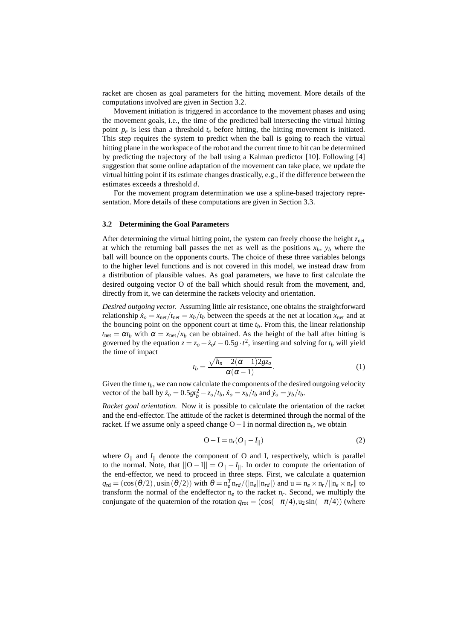racket are chosen as goal parameters for the hitting movement. More details of the computations involved are given in Section 3.2.

Movement initiation is triggered in accordance to the movement phases and using the movement goals, i.e., the time of the predicted ball intersecting the virtual hitting point  $p_e$  is less than a threshold  $t_e$  before hitting, the hitting movement is initiated. This step requires the system to predict when the ball is going to reach the virtual hitting plane in the workspace of the robot and the current time to hit can be determined by predicting the trajectory of the ball using a Kalman predictor [10]. Following [4] suggestion that some online adaptation of the movement can take place, we update the virtual hitting point if its estimate changes drastically, e.g., if the difference between the estimates exceeds a threshold *d*.

For the movement program determination we use a spline-based trajectory representation. More details of these computations are given in Section 3.3.

#### **3.2 Determining the Goal Parameters**

After determining the virtual hitting point, the system can freely choose the height *z*net at which the returning ball passes the net as well as the positions  $x_b$ ,  $y_b$  where the ball will bounce on the opponents courts. The choice of these three variables belongs to the higher level functions and is not covered in this model, we instead draw from a distribution of plausible values. As goal parameters, we have to first calculate the desired outgoing vector O of the ball which should result from the movement, and, directly from it, we can determine the rackets velocity and orientation.

*Desired outgoing vector.* Assuming little air resistance, one obtains the straightforward relationship  $\dot{x}_o = x_{net}/t_{net} = x_b/t_b$  between the speeds at the net at location  $x_{net}$  and at the bouncing point on the opponent court at time  $t<sub>b</sub>$ . From this, the linear relationship  $t_{\text{net}} = \alpha t_b$  with  $\alpha = x_{\text{net}}/x_b$  can be obtained. As the height of the ball after hitting is governed by the equation  $z = z_o + \dot{z}_o t - 0.5g \cdot t^2$ , inserting and solving for  $t_b$  will yield the time of impact

$$
t_b = \frac{\sqrt{h_n - 2(\alpha - 1)2gz_o}}{\alpha(\alpha - 1)}.
$$
 (1)

Given the time  $t_b$ , we can now calculate the components of the desired outgoing velocity vector of the ball by  $\dot{z}_o = 0.5gt_b^2 - z_o/t_b$ ,  $\dot{x}_o = x_b/t_b$  and  $\dot{y}_o = y_b/t_b$ .

*Racket goal orientation.* Now it is possible to calculate the orientation of the racket and the end-effector. The attitude of the racket is determined through the normal of the racket. If we assume only a speed change  $O-I$  in normal direction  $n_r$ , we obtain

$$
O - I = n_r (O_{||} - I_{||})
$$
 (2)

where  $O_{\parallel}$  and  $I_{\parallel}$  denote the component of O and I, respectively, which is parallel to the normal. Note, that  $||O - I|| = O_{||} - I_{||}$ . In order to compute the orientation of the end-effector, we need to proceed in three steps. First, we calculate a quaternion  $q_{\text{rd}} = (\cos(\theta/2), \sin(\theta/2))$  with  $\theta = \frac{n_e}{n_{rd}} / (\frac{|n_e| |n_{rd}|}{n_d})$  and  $u = \frac{n_e}{x} \frac{n_r}{||n_e \times n_r||}$  to transform the normal of the endeffector  $n_e$  to the racket  $n_r$ . Second, we multiply the conjungate of the quaternion of the rotation  $q_{\text{rot}} = (\cos(-\pi/4), u_2 \sin(-\pi/4))$  (where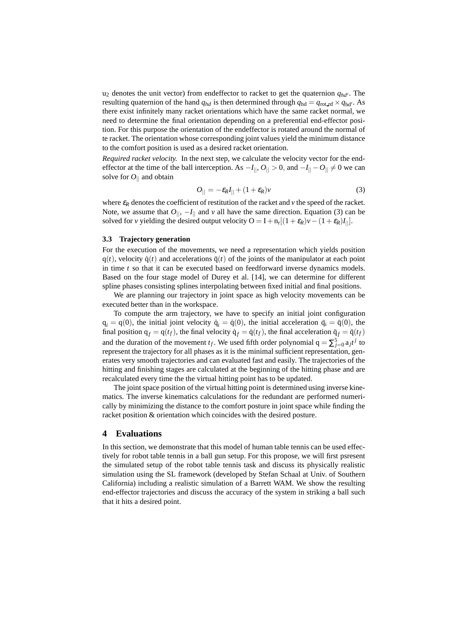$u_2$  denotes the unit vector) from endeffector to racket to get the quaternion  $q_{hd'}$ . The resulting quaternion of the hand  $q_{hd}$  is then determined through  $q_{hd} = q_{rot\_rd} \times q_{hd'}$ . As there exist infinitely many racket orientations which have the same racket normal, we need to determine the final orientation depending on a preferential end-effector position. For this purpose the orientation of the endeffector is rotated around the normal of te racket. The orientation whose corresponding joint values yield the minimum distance to the comfort position is used as a desired racket orientation.

*Required racket velocity.* In the next step, we calculate the velocity vector for the endeffector at the time of the ball interception. As  $-I_{\parallel}$ ,  $O_{\parallel} > 0$ , and  $-I_{\parallel} - O_{\parallel} \neq 0$  we can solve for  $O_{\parallel}$  and obtain

$$
O_{\parallel} = -\varepsilon_R I_{\parallel} + (1 + \varepsilon_R)v \tag{3}
$$

where  $\varepsilon_R$  denotes the coefficient of restitution of the racket and  $\nu$  the speed of the racket. Note, we assume that  $O_{\parallel}$ ,  $-I_{\parallel}$  and  $\nu$  all have the same direction. Equation (3) can be solved for *v* yielding the desired output velocity  $O = I + n_r[(1 + \varepsilon_R)v - (1 + \varepsilon_R)I_{||}]$ .

### **3.3 Trajectory generation**

For the execution of the movements, we need a representation which yields position  $q(t)$ , velocity  $\dot{q}(t)$  and accelerations  $\ddot{q}(t)$  of the joints of the manipulator at each point in time *t* so that it can be executed based on feedforward inverse dynamics models. Based on the four stage model of Durey et al. [14], we can determine for different spline phases consisting splines interpolating between fixed initial and final positions.

We are planning our trajectory in joint space as high velocity movements can be executed better than in the workspace.

To compute the arm trajectory, we have to specify an initial joint configuration  $q_i = q(0)$ , the initial joint velocity  $\dot{q}_i = \dot{q}(0)$ , the initial acceleration  $\ddot{q}_i = \ddot{q}(0)$ , the final position  $q_f = q(t_f)$ , the final velocity  $\dot{q}_f = \dot{q}(t_f)$ , the final acceleration  $\ddot{q}_f = \ddot{q}(t_f)$ and the duration of the movement  $t_f$ . We used fifth order polynomial  $q = \sum_{j=0}^{5} a_j t^j$  to represent the trajectory for all phases as it is the minimal sufficient representation, generates very smooth trajectories and can evaluated fast and easily. The trajectories of the hitting and finishing stages are calculated at the beginning of the hitting phase and are recalculated every time the the virtual hitting point has to be updated.

The joint space position of the virtual hitting point is determined using inverse kinematics. The inverse kinematics calculations for the redundant are performed numerically by minimizing the distance to the comfort posture in joint space while finding the racket position & orientation which coincides with the desired posture.

## **4 Evaluations**

In this section, we demonstrate that this model of human table tennis can be used effectively for robot table tennis in a ball gun setup. For this propose, we will first psresent the simulated setup of the robot table tennis task and discuss its physically realistic simulation using the SL framework (developed by Stefan Schaal at Univ. of Southern California) including a realistic simulation of a Barrett WAM. We show the resulting end-effector trajectories and discuss the accuracy of the system in striking a ball such that it hits a desired point.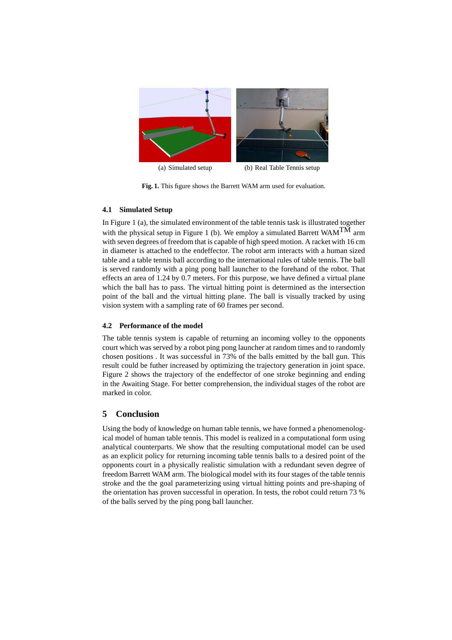

**Fig. 1.** This figure shows the Barrett WAM arm used for evaluation.

## **4.1 Simulated Setup**

In Figure 1 (a), the simulated environment of the table tennis task is illustrated together with the physical setup in Figure 1 (b). We employ a simulated Barrett WAM<sup>TM</sup> arm with seven degrees of freedom that is capable of high speed motion. A racket with 16 cm in diameter is attached to the endeffector. The robot arm interacts with a human sized table and a table tennis ball according to the international rules of table tennis. The ball is served randomly with a ping pong ball launcher to the forehand of the robot. That effects an area of 1.24 by 0.7 meters. For this purpose, we have defined a virtual plane which the ball has to pass. The virtual hitting point is determined as the intersection point of the ball and the virtual hitting plane. The ball is visually tracked by using vision system with a sampling rate of 60 frames per second.

## **4.2 Performance of the model**

The table tennis system is capable of returning an incoming volley to the opponents court which was served by a robot ping pong launcher at random times and to randomly chosen positions . It was successful in 73% of the balls emitted by the ball gun. This result could be futher increased by optimizing the trajectory generation in joint space. Figure 2 shows the trajectory of the endeffector of one stroke beginning and ending in the Awaiting Stage. For better comprehension, the individual stages of the robot are marked in color.

## **5 Conclusion**

Using the body of knowledge on human table tennis, we have formed a phenomenological model of human table tennis. This model is realized in a computational form using analytical counterparts. We show that the resulting computational model can be used as an explicit policy for returning incoming table tennis balls to a desired point of the opponents court in a physically realistic simulation with a redundant seven degree of freedom Barrett WAM arm. The biological model with its four stages of the table tennis stroke and the the goal parameterizing using virtual hitting points and pre-shaping of the orientation has proven successful in operation. In tests, the robot could return 73 % of the balls served by the ping pong ball launcher.